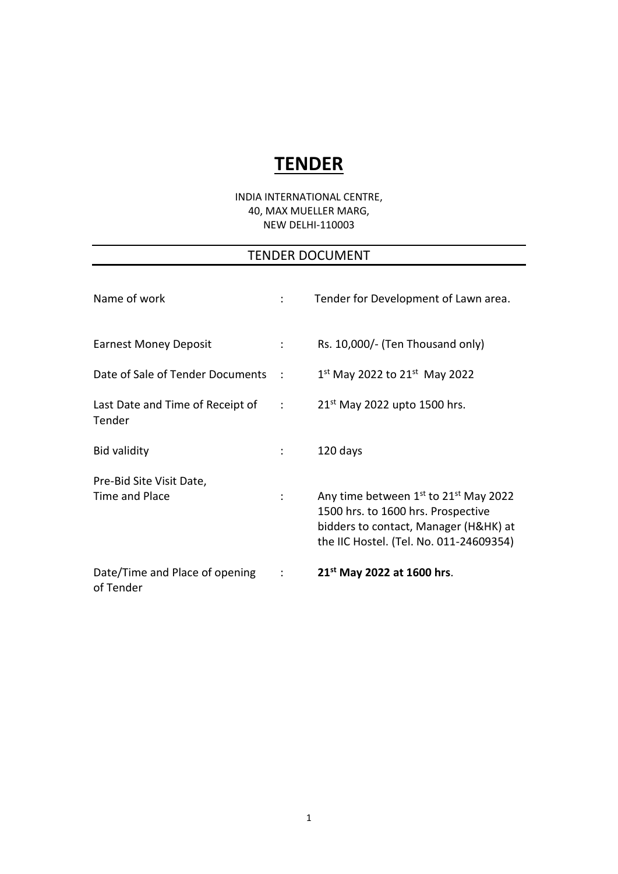# **TENDER**

### INDIA INTERNATIONAL CENTRE, 40, MAX MUELLER MARG, NEW DELHI-110003

## TENDER DOCUMENT

| Name of work                                  | ÷                          | Tender for Development of Lawn area.                                                                                                                                                    |
|-----------------------------------------------|----------------------------|-----------------------------------------------------------------------------------------------------------------------------------------------------------------------------------------|
| <b>Earnest Money Deposit</b>                  | $\mathcal{I}^{\text{max}}$ | Rs. 10,000/- (Ten Thousand only)                                                                                                                                                        |
| Date of Sale of Tender Documents              | <b>Contract</b>            | $1^{st}$ May 2022 to 21st May 2022                                                                                                                                                      |
| Last Date and Time of Receipt of :<br>Tender  |                            | $21st$ May 2022 upto 1500 hrs.                                                                                                                                                          |
| <b>Bid validity</b>                           |                            | 120 days                                                                                                                                                                                |
| Pre-Bid Site Visit Date,<br>Time and Place    | $\ddot{\phantom{a}}$       | Any time between 1 <sup>st</sup> to 21 <sup>st</sup> May 2022<br>1500 hrs. to 1600 hrs. Prospective<br>bidders to contact, Manager (H&HK) at<br>the IIC Hostel. (Tel. No. 011-24609354) |
| Date/Time and Place of opening :<br>of Tender |                            | 21 <sup>st</sup> May 2022 at 1600 hrs.                                                                                                                                                  |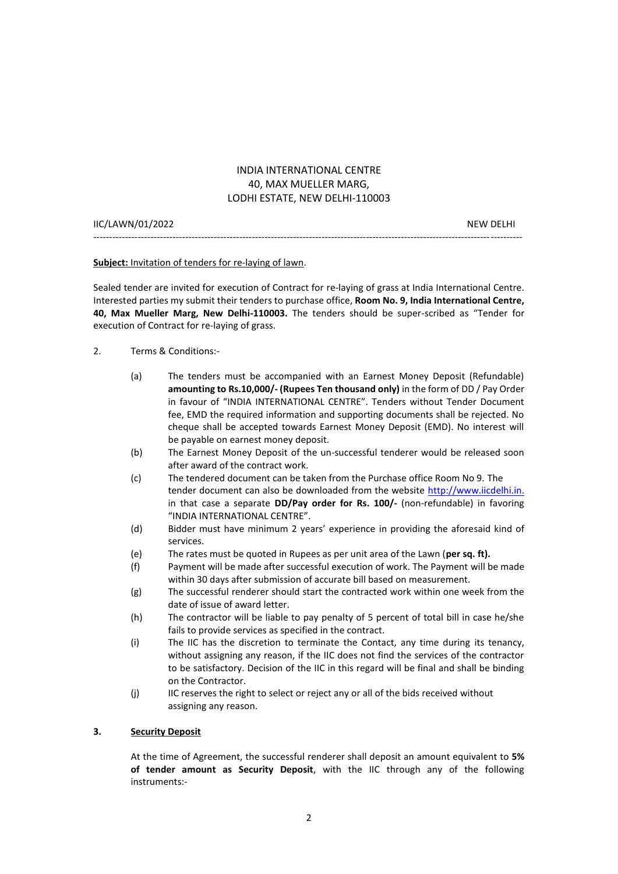### INDIA INTERNATIONAL CENTRE 40, MAX MUELLER MARG, LODHI ESTATE, NEW DELHI-110003

| IIC/LAWN/01/2022 | NFW DFLHI |
|------------------|-----------|
|                  |           |

**Subject:** Invitation of tenders for re-laying of lawn.

Sealed tender are invited for execution of Contract for re-laying of grass at India International Centre. Interested parties my submit their tenders to purchase office, **Room No. 9, India International Centre, 40, Max Mueller Marg, New Delhi-110003.** The tenders should be super-scribed as "Tender for execution of Contract for re-laying of grass.

- 2. Terms & Conditions:-
	- (a) The tenders must be accompanied with an Earnest Money Deposit (Refundable) **amounting to Rs.10,000/- (Rupees Ten thousand only)** in the form of DD / Pay Order in favour of "INDIA INTERNATIONAL CENTRE". Tenders without Tender Document fee, EMD the required information and supporting documents shall be rejected. No cheque shall be accepted towards Earnest Money Deposit (EMD). No interest will be payable on earnest money deposit.
	- (b) The Earnest Money Deposit of the un-successful tenderer would be released soon after award of the contract work.
	- (c) The tendered document can be taken from the Purchase office Room No 9. The tender document can also be downloaded from the website [http://www.iicdelhi.in.](http://www.iicdelhi.in./) in that case a separate **DD/Pay order for Rs. 100/-** (non-refundable) in favoring "INDIA INTERNATIONAL CENTRE".
	- (d) Bidder must have minimum 2 years' experience in providing the aforesaid kind of services.
	- (e) The rates must be quoted in Rupees as per unit area of the Lawn (**per sq. ft).**
	- (f) Payment will be made after successful execution of work. The Payment will be made within 30 days after submission of accurate bill based on measurement.
	- (g) The successful renderer should start the contracted work within one week from the date of issue of award letter.
	- (h) The contractor will be liable to pay penalty of 5 percent of total bill in case he/she fails to provide services as specified in the contract.
	- (i) The IIC has the discretion to terminate the Contact, any time during its tenancy, without assigning any reason, if the IIC does not find the services of the contractor to be satisfactory. Decision of the IIC in this regard will be final and shall be binding on the Contractor.
	- (j) IIC reserves the right to select or reject any or all of the bids received without assigning any reason.

#### **3. Security Deposit**

At the time of Agreement, the successful renderer shall deposit an amount equivalent to **5% of tender amount as Security Deposit**, with the IIC through any of the following instruments:-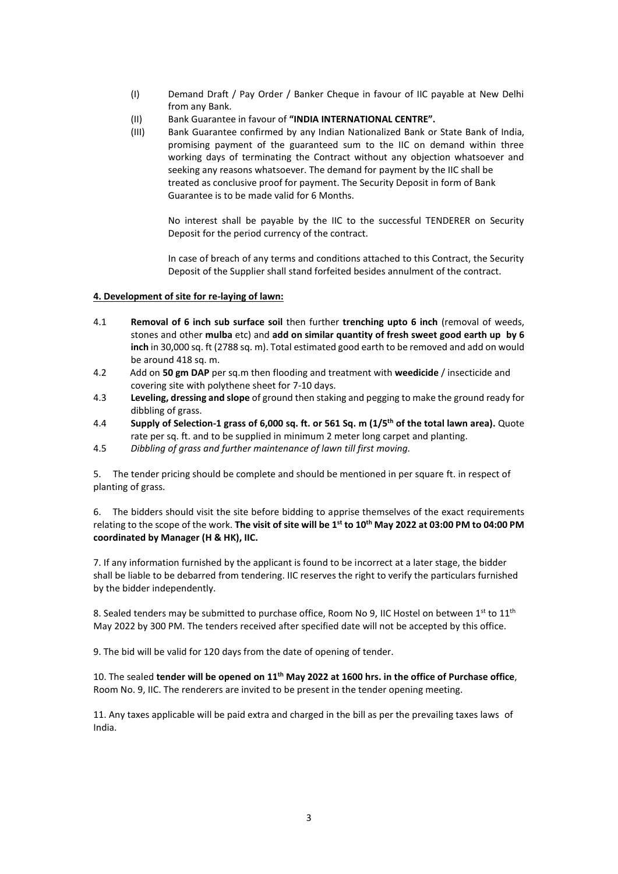- (I) Demand Draft / Pay Order / Banker Cheque in favour of IIC payable at New Delhi from any Bank.
- (II) Bank Guarantee in favour of **"INDIA INTERNATIONAL CENTRE".**
- (III) Bank Guarantee confirmed by any Indian Nationalized Bank or State Bank of India, promising payment of the guaranteed sum to the IIC on demand within three working days of terminating the Contract without any objection whatsoever and seeking any reasons whatsoever. The demand for payment by the IIC shall be treated as conclusive proof for payment. The Security Deposit in form of Bank Guarantee is to be made valid for 6 Months.

No interest shall be payable by the IIC to the successful TENDERER on Security Deposit for the period currency of the contract.

In case of breach of any terms and conditions attached to this Contract, the Security Deposit of the Supplier shall stand forfeited besides annulment of the contract.

#### **4. Development of site for re-laying of lawn:**

- 4.1 **Removal of 6 inch sub surface soil** then further **trenching upto 6 inch** (removal of weeds, stones and other **mulba** etc) and **add on similar quantity of fresh sweet good earth up by 6 inch** in 30,000 sq. ft (2788 sq. m). Total estimated good earth to be removed and add on would be around 418 sq. m.
- 4.2 Add on **50 gm DAP** per sq.m then flooding and treatment with **weedicide** / insecticide and covering site with polythene sheet for 7-10 days.
- 4.3 **Leveling, dressing and slope** of ground then staking and pegging to make the ground ready for dibbling of grass.
- 4.4 **Supply of Selection-1 grass of 6,000 sq. ft. or 561 Sq. m (1/5th of the total lawn area).** Quote rate per sq. ft. and to be supplied in minimum 2 meter long carpet and planting.
- 4.5 *Dibbling of grass and further maintenance of lawn till first moving.*

5. The tender pricing should be complete and should be mentioned in per square ft. in respect of planting of grass.

6. The bidders should visit the site before bidding to apprise themselves of the exact requirements relating to the scope of the work. **The visit of site will be 1 st to 10th May 2022 at 03:00 PM to 04:00 PM coordinated by Manager (H & HK), IIC.**

7. If any information furnished by the applicant is found to be incorrect at a later stage, the bidder shall be liable to be debarred from tendering. IIC reserves the right to verify the particulars furnished by the bidder independently.

8. Sealed tenders may be submitted to purchase office, Room No 9, IIC Hostel on between 1st to 11<sup>th</sup> May 2022 by 300 PM. The tenders received after specified date will not be accepted by this office.

9. The bid will be valid for 120 days from the date of opening of tender.

10. The sealed **tender will be opened on 11th May 2022 at 1600 hrs. in the office of Purchase office**, Room No. 9, IIC. The renderers are invited to be present in the tender opening meeting.

11. Any taxes applicable will be paid extra and charged in the bill as per the prevailing taxes laws of India.